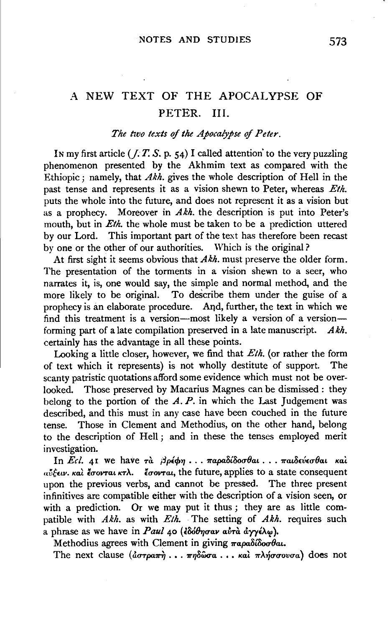## A NEW TEXT OF THE APOCALYPSE OF PETER. Ill.

#### *The two texts of the Apocalypse* of *Peter.*

In my first article  $(f, T, S, p, s_4)$  I called attention' to the very puzzling phenomenon presented by the Akhmim text as compared with the Ethiopic; namely, that *Akh.* gives the whole description of Hell in the past tense and represents it as a vision shewn to Peter, whereas *Eth*. puts the whole into the future, and does not represent it as a vision but as a prophecy. Moreover in *Akh.* the description is put into Peter's mouth, but in *Eth*, the whole must be taken to be a prediction uttered by our Lord. This important part of the text has therefore been recast by one or the other of our authorities. Which is the original?

At first sight it seems obvious that *Akh*. must preserve the older form. The presentation of the torments in a vision shewn to a seer, who narrates it, is, one would say, the simple and normal method, and the more likely to be original. To describe them under the guise of a prophecy is an elaborate procedure. And, further, the text in which we find this treatment is a version-most likely a version of a versionforming part of a late compilation preserved in a late manuscript. *Akh.*  certainly has the advantage in all these points.

Looking a little closer, however, we find that *Eth.* (or rather the form of text which it represents) is not wholly destitute of support. The scanty patristic quotations afford some evidence which must not be overlooked. Those preserved by Macarius Magnes can be dismissed : they belong to the portion of the  $A$ .  $P$ . in which the Last Judgement was described, and this must in any case have been couched in the future tense. Those in Clement and Methodius, on the other hand, belong to the description of Hell ; and in these the tenses employed merit investigation.

In *Ecl.* 41 we have τα βρέφη... παραδίδοσθαι... παιδεύεσθαι και *nvfnv. Kat (uoVTaL* KTA. *(uoVTaL,* the future, applies to a state consequent upon the previous verbs, and cannot be pressed. The three present infinitives are compatible either with the description of a vision seen, or with a prediction. Or we may put it thus ; they are as little compatible with *Akh.* as with *Eth.* The setting of *Akh.* requires such a phrase as we have in *Paul* 40 ( $\epsilon \delta \delta \theta$ ησαν αύτα άγγ $\epsilon \lambda \omega$ ).

Methodius agrees with Clement in giving  $\pi a \rho a \delta \delta \rho \partial \alpha \mu$ .

The next clause (*άστραπή* ... πηδώσα ... και πλήσσουσα) does not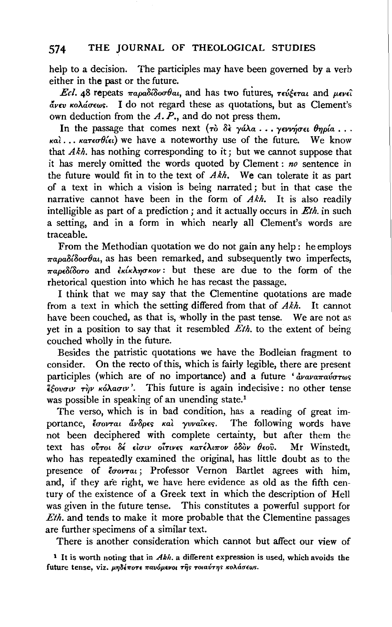### 574 THE JOURNAL OF THEOLOGICAL STUDIES

help to a decision. The participles may have been governed by a verb either in the past or the future.

*Ecl.* 48 repeats  $\pi$ *apa8{8oo flat,* and has two futures,  $\tau \omega \xi$ *erat and*  $\mu \epsilon$ *v* $\hat{\epsilon}$ *avru KoAau£w<;.* I do not regard these as quotations, but as Clement's own deduction from the  $A. P$ , and do not press them.

In the passage that comes next  $(r\delta \delta \epsilon)$  *y* $\delta \lambda a \ldots$ , *yervnou*  $\theta$ *npia* ...  $\kappa a$ ...  $\kappa a \tau \epsilon \sigma \theta$ <sub>i</sub> $\epsilon$  we have a noteworthy use of the future. We know that *Akh.* has nothing corresponding to it; but we cannot suppose that it has merely omitted the words quoted by Clement : *no* sentence in the future would fit in to the text of *Akh.* We can tolerate it as part of a text in which a vision is being narrated ; but in that case the narrative cannot have been in the form of *Akh.* It is also readily intelligible as part of a prediction ; and it actually occurs in *Eth.* in such a setting, and in a form in which nearly all Clement's words are traceable.

From the Methodian quotation we do not gain any help: he employs  $\pi$ apa $\delta$ *i* $\delta$ o $\sigma$  $\theta$ a, as has been remarked, and subsequently two imperfects, *παρεδίδοτο* and *εκίκλησκον*: but these are due to the form of the rhetorical question into which he has recast the passage.

I think that we may say that the Clementine quotations are made from a text in which the setting differed from that of *Akh.* It cannot have been couched, as that is, wholly in the past tense. We are not as yet in a position to say that it resembled *Eth.* to the extent of being couched wholly in the future.

Besides the patristic quotations we have the Bodleian fragment to consider. On the recto of this, which is fairly legible, there are present participles (which are of no importance) and a future ' $\frac{d}{dx}u_x + \frac{d}{dx}u_y + \cdots$  $\epsilon$ έ<sub>συσι</sub>ν την κόλασιν'. This future is again indecisive: no other tense was possible in speaking of an unending state.<sup>1</sup>

The verso, which is in bad condition, has a reading of great importance, *toortal avones* kat yvvaikes. The following words have not been deciphered with complete certainty, but after them the text has *ούτοι δέ είσιν οίτινες κατέλιπον όδον θεού*. Mr Winstedt, who has repeatedly examined the original, has little doubt as to the presence of *čoorrat*; Professor Vernon Bartlet agrees with him, and, if they are right, we have here evidence as old as the fifth century of the existence of a Greek text in which the description of Hell was given in the future tense. This constitutes a powerful support for *Eth.* and tends to make it more probable that the Clementine passages are further specimens of a similar text.

There is another consideration which cannot but affect our view of

<sup>1</sup> It is worth noting that in *Akh*. a different expression is used, which avoids the future tense, viz. μηδέποτε παυόμενοι της τοιαύτης κολάσεως.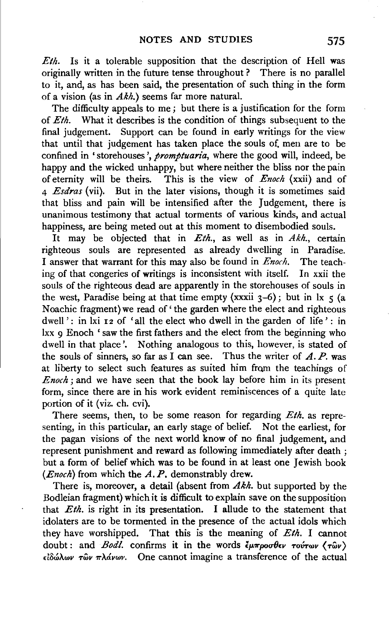*Eth.* Is it a tolerable supposition that the description of Hell was originally written in the future tense throughout ? There is no parallel to it, and, as has been said, the presentation of such thing in the form of a vision (as in  $Akh$ .) seems far more natural.

The difficulty appeals to me; but there is a justification for the form of *Eth.* What it describes is the condition of things subsequent to the final judgement. Support can be found in early writings for the view that until that judgement has taken place the souls of men are to be confined in 'storehouses', *promptuaria,* where the good will, indeed, be happy and the wicked unhappy, but where neither the bliss nor the pain of eternity will be theirs. This is the view of *Enoch* (xxii) and of 4 *Esdras* ( vii). But in the later visions, though it is sometimes said that bliss and pain will be intensified after the Judgement, there is unanimous testimony that actual torments of various kinds, and actual happiness, are being meted out at this moment to disembodied souls.

It may be objected that in *Eth.,* as well as in *Akh.,* certain righteous souls are represented as already dwelling in Paradise. I answer that warrant for this may also be found in *Enoch.* The teaching of that congeries of writings is inconsistent with itself. In xxii the souls of the righteous dead are apparently in the storehouses of souls in the west, Paradise being at that time empty (xxxii  $3-6$ ); but in lx  $\leq$  (a Noachic fragment) we read of ' the garden where the elect and righteous dwell': in  $\overline{x}$  is  $\overline{z}$  of 'all the elect who dwell in the garden of life': in lxx 9 Enoch ' saw the first fathers and the elect from the beginning who dwell in that place'. Nothing analogous to this, however, is stated of the souls of sinners, so far as I can see. Thus the writer of  $A.P.$  was at liberty to select such features as suited him from the teachings of *Enoch;* and we have seen that the book lay before him in its present form, since there are in his work evident reminiscences of a quite late portion of it (viz. eh. cvi).

There seems, then, to be some reason for regarding *Eth.* as representing, in this particular, an early stage of belief. Not the earliest, for the pagan visions of the next world know of no final judgement, and represent punishment and reward as following immediately after death ; but a form of belief which was to be found in at least one Jewish book *(Enoch)* from which the *A. P.* demonstrably drew.

There is, moreover, a detail (absent from  $Akh$ , but supported by the Bodleian fragment) which it is difficult to explain save on the supposition that *Eth*. is right in its presentation. I allude to the statement that idolaters are to be tormented in the presence of the actual idols which they have worshipped. That this is the meaning of *Eth.* I cannot doubt: and *Bodl.* confirms it in the words  $\ell_{\mu}$ *rpoodev Tovrwv*  $\langle T\hat{\omega}\nu\rangle$  $\epsilon \delta \omega \lambda \omega \nu$   $\tau \omega \nu \pi \lambda \omega \omega \nu$ . One cannot imagine a transference of the actual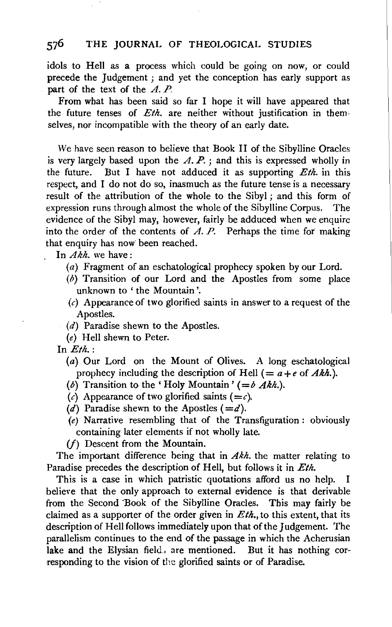#### 576 THE JOURNAL OF THEOLOGICAL STUDIES

idols to Hell as a process which could be going on now, or could precede the Judgement ; and yet the conception has early support as part of the text of the  $A$ .  $P$ .

From what has been said so far I hope it will have appeared that the future tenses of *Eth.* are neither without justification in themselves, nor incompatible with the theory of an early date.

We have seen reason to believe that Book 11 of the Sibylline Oracles is very largely based upon the  $A$ .  $P$ , and this is expressed wholly in the future. But I have not adduced it as supporting *Eth.* in this respect, and I do not do so, inasmuch as the future tense is a necessary result of the attribution of the whole to the Sibyl ; and this form of expression runs through almost the whole of the Sibylline Corpus. The evidence of the Sibyl may, however, fairly be adduced when we enquire into the order of the contents of  $A$ .  $P$ . Perhaps the time for making that enquiry has now· been reached.

In  $Akh$ , we have:

- (a) Fragment of an eschatological prophecy spoken by our Lord.
- (b) Transition of our Lord and the Apostles from some place unknown to ' the Mountain'.
- $(c)$  Appearance of two glorified saints in answer to a request of the Apostles.
- (d) Paradise shewn to the Apostles.
- (e) Hell shewn to Peter.

 $\overline{\text{In } E}$ *ih.*:

- {a) Our Lord on the Mount of Olives. A long eschatological prophecy including the description of Hell  $( = a + e$  of Akh.).
- (b) Transition to the 'Holy Mountain' (=b  $Akh$ .).
- (c) Appearance of two glorified saints (=c).
- (d) Paradise shewn to the Apostles  $(=d)$ .
- *(e)* Narrative resembling that of the Transfiguration : obviously containing later elements if not wholly late.

 $(f)$  Descent from the Mountain.

The important difference being that in  $Akh$ , the matter relating to Paradise precedes the description of Hell, but follows it in *Eth.* 

This is a case in which patristic quotations afford us no help. I believe that the only approach to external evidence is that derivable from the Second "Book of the Sibylline Oracles. This may fairly be claimed as a supporter of the order given in *Eth.,* to this extent, that its description of Hell follows immediately upon that of the Judgement. The parallelism continues to the end of the passage in which the Acherusian lake and the Elysian field., are mentioned. But it has nothing corresponding to the vision of the glorified saints or of Paradise.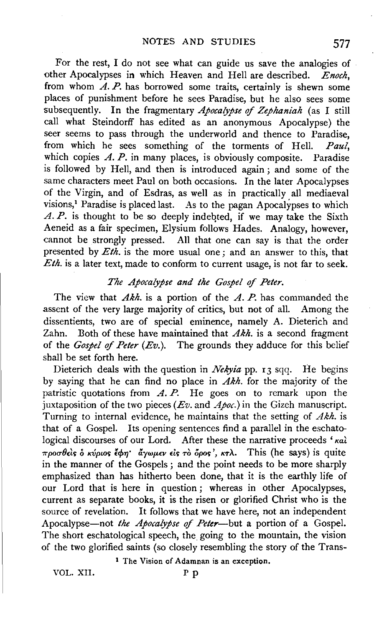For the rest, I do not see what can guide us save the analogies of other Apocalypses in which Heaven and Hell are described. *Enoch,*  from whom  $A.$   $P.$  has borrowed some traits, certainly is shewn some places of punishment before he sees Paradise, but he also sees some subsequently. In the fragmentary *Apocalypse* of *Zephaniah* (as I still call what Steindorff has edited as an anonymous Apocalypse) the seer seems to pass through the underworld and thence to Paradise, from which he sees something of the torments of Hell. *Paul,*  which copies  $A$ .  $P$ . in many places, is obviously composite. Paradise is followed by Hell, and then is introduced again ; and some of the same characters meet Paul on both occasions. In the later Apocalypses of the Virgin, and of Esdras, as well as in practically all mediaeval visions,<sup>1</sup> Paradise is placed last. As to the pagan Apocalypses to which  $A. P.$  is thought to be so deeply indebted, if we may take the Sixth Aeneid as a fair specimen, Elysium follows Hades. Analogy, however, cannot be strongly pressed. All that one can say is that the order presented by *Eth.* is the more usual one ; and an answer to this, that *Eth.* is a later text, made to conform to current usage, is not far to seek.

## *The Apocalypse and the Gospel* of *Peter.*

The view that *Akh*. is a portion of the *A. P.* has commanded the assent of the very large majority of critics, but not of all. Among the dissentients, two are of special eminence, namely A. Dieterich and Zahn. Both of these have maintained that *Akh.* is a second fragment of the *Gospel* of *Peter* (Ev.). The grounds they adduce for this belief shall be set forth here.

Dieterich deals with the question in *Nekyia* pp. 13 sqq. He begins by saying that he can find no place in *Akh.* for the majority of the patristic quotations from  $A. P.$  He goes on to remark upon the juxtaposition of the two pieces *(Ev.* and *Apoc.)* in the Gizeh manuscript. Turning to internal evidence, he maintains that the setting of *Akh.* is that of a Gospel. Its opening sentences find a parallel in the eschatological discourses of our Lord. After these the narrative proceeds ' $\kappa a$ )  $\pi$ ροσθείς δ κύριος έφη· άγωμεν είς τὸ ὄρος', κτλ. This (he says) is quite in the manner of the Gospels; and the point needs to be more sharply emphasized than has hitherto been done, that it is the earthly life of our Lord that is here in question ; whereas in other Apocalypses, current as separate books, it is the risen or glorified Christ who is the source of revelation. It follows that we have here, not an independent Apocalypse-not *the Apocalypse* of *Peter-but* a portion of a Gospel. The short eschatological speech, the going to the mountain, the vision of the two glorified saints (so closely resembling the story of the Trans-

1 The Vision of Adamnan is an exception.

VOL. XII. Pp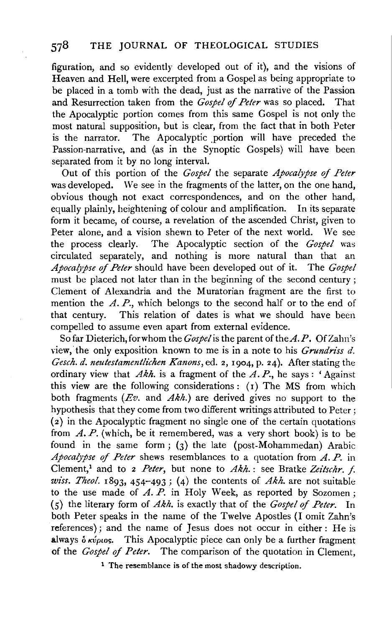figuration, and so evidently developed out of it), and the visions of Heaven and Hell, were excerpted from a Gospel as being appropriate to be placed in a tomb with the dead, just as the narrative of the Passion and Resurrection taken from the *Gospel of Peter* was so placed. That the Apocalyptic portion comes from this same Gospel is not only the most natural supposition, but is clear, from the fact that in both Peter is the narrator. The Apocalyptic portion will have preceded the Passion-narrative, and (as in the Synoptic Gospels) will have been separated from it by no long interval.

Out of this portion of the *Gospel* the separate *Apocalypse of Peter*  was developed. We see in the fragments of the latter, on the one hand, obvious though not exact correspondences, and on the other hand, equally plainly, heightening of colour and amplification. In its separate form it became, of course, a revelation of the ascended Christ, given to Peter alone, and a vision shewn to Peter of the next world. We see the process clearly. The Apocalyptic section of the *Gospel* was circulated separately, and nothing is more natural than that an *Apocal\_ypse of Peter* should have been developed out of it. The *Gospel*  must be placed not later than in the beginning of the second century ; Clement of Alexandria and the Muratorian fragment are the first to mention the  $A$ .  $P$ , which belongs to the second half or to the end of that century. This relation of dates is what we should have been compelled to assume even apart from external evidence.

So far Dieterich, for whom the *Gospel* is the parent of *theA.P.* Of Zahn's view, the only exposition known to me is in a note to his *Grundriss d. Gesch. d. neutestamentlichen Kanons,* ed. 2, 1904, p. 24). After stating the ordinary view that *Akh.* is a fragment of the *A. P.,* he says: 'Against this view are the following considerations:  $(1)$  The MS from which both fragments *(Ev.* and *Akh.)* are derived gives no support to the hypothesis that they come from two different writings attributed to Peter;  $\overline{2}$  in the Apocalyptic fragment no single one of the certain quotations from  $A.P.$  (which, be it remembered, was a very short book) is to be found in the same form; (3) the late (post-Mohammedan) Arabic *Apocalypse of Peter* shews resemblances to a quotation from *A. P.* in Clement,<sup>1</sup> and to 2 *Peter*, but none to Akh.: see Bratke Zeitschr. f. *wiss. Theol.* 1893, 454-493; (4) the contents of *Akh.* are not suitable to the use made of  $A.$   $P.$  in Holy Week, as reported by Sozomen; (5) the literary form of *Akh.* is exactly that of the *Gospel of Peter.* In both Peter speaks in the name of the Twelve Apostles (I omit Zahn's references); and the name of Jesus does not occur in either: He is always  $\delta \kappa \omega_{\text{pio}}$ . This Apocalyptic piece can only be a further fragment of the *Gospel of Peter.* The comparison of the quotation in Clement,

<sup>1</sup> The resemblance is of the most shadowy description.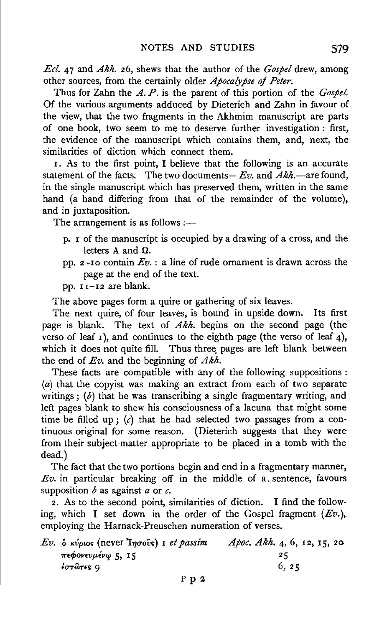*Ecl.* 47 and *Akh.* 26, shews that the author of the *Gospel* drew, among other sources, from the certainly older *Apocalypse of Peter.* 

Thus for Zahn the *A. P.* is the parent of this portion of the *Gospel.*  Of the various arguments adduced by Dieterich and Zahn in favour of the view, that the two fragments in the Akhmim manuscript are parts of one book, two seem to me to deserve further investigation : first, the evidence of the manuscript which contains them, and, next, the similarities of diction which connect them.

I. As to the first point, I believe that the following is an accurate statement of the facts. The two documents-  $Ev$ , and  $Akh$ -are found, in the single manuscript which has preserved them, written in the same hand (a hand differing from that of the remainder of the volume), and in juxtaposition.

The arrangement is as follows : $-$ 

- p. I of the manuscript is occupied by a drawing of a cross, and the letters A and  $\Omega$ .
- pp. 2-Io contain *Ev.* : a line of rude ornament is drawn across the page at the end of the text.
- pp. II-I2 are blank.

The above pages form a quire or gathering of six leaves.

The next quire, of four leaves, is bound in upside down. Its first page is blank. The text of *Akh.* begins on the second page (the verso of leaf  $I$ ), and continues to the eighth page (the verso of leaf  $4$ ), which it does not quite fill. Thus three pages are left blank between the end of *Ev.* and the beginning of *Akh.* 

These facts are compatible with any of the following suppositions :  $(a)$  that the copyist was making an extract from each of two separate writings;  $(b)$  that he was transcribing a single fragmentary writing, and left pages blank to shew his consciousness of a lacuna that might some time be filled up;  $(c)$  that he had selected two passages from a continuous original for some reason. (Dieterich suggests that they were from their subject-matter appropriate to be placed in a tomb with the dead.)

The fact that the two portions begin and end in a fragmentary manner, *Ev.* in particular breaking off in the middle of a. sentence, favours supposition *b* as against *a* or *c.* 

*z.* As to the second point, similarities of diction. I find the following, which I set down in the order of the Gospel fragment *(Ev.),*  employing the Harnack-Preuschen numeration of verses.

| Ev. δ κύριος (never Iησούς) ι et passim | <i>Apoc. Akh.</i> 4, 6, 12, 15, 20 |
|-----------------------------------------|------------------------------------|
| πεφονευμένω 5, 15                       |                                    |
| έστῶτες Ο                               | 0,25                               |
| $P$ $p$ 2                               |                                    |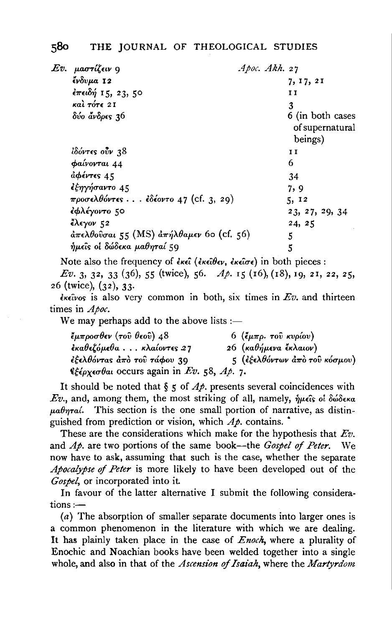| Ευ. μαστίζειν 9                                                  | $A$ poc. $A$ kh. 27 |                                                |
|------------------------------------------------------------------|---------------------|------------------------------------------------|
| ένδυμα 12                                                        |                     | 7, 17, 21                                      |
| έπειδή 15, 23, 50                                                |                     | 1 I                                            |
| καλ τότε 21                                                      |                     | 3                                              |
| δύο ἄνδρες 36                                                    |                     | 6 (in both cases<br>of supernatural<br>beings) |
| ίδόντες οὖν 38                                                   |                     | 11                                             |
| φαίνονται 44                                                     |                     | 6                                              |
| άφέντες 45                                                       |                     | 34                                             |
| έξηγήσαντο 45                                                    |                     | 7, 9                                           |
| προσελθόντες εδέοντο 47 (cf. 3, 29)                              |                     | 5, 12                                          |
| έφλέγοντο 50                                                     |                     | 23, 27, 29, 34                                 |
| έλεγον 52                                                        |                     | 24, 25                                         |
| $d\pi$ ελθούσαι 55 (MS) $d\pi\eta\lambda\theta$ αμεν 60 (cf. 56) |                     | 5                                              |
| ήμεῖς οἱ δώδεκα μαθηταί 59                                       |                     | 5                                              |
|                                                                  |                     |                                                |

Note also the frequency of  $\epsilon_{k\epsilon\epsilon\epsilon}$  ( $\epsilon_{k\epsilon\epsilon\epsilon}$ )  $\epsilon_{k\epsilon\epsilon}$ ) in both pieces :

Ev. 3, 32, 33 (36), 55 (twice), 56. Ap. 15 (16), (18), 19, 21, 22, 25, 26 (twice), (32), 33.

 $\epsilon$ Keivos is also very common in both, six times in Ev. and thirteen times in Apoc.

We may perhaps add to the above lists :-

| ἔμπροσθεν (τοῦ θεοῦ) 48                   | 6 (ἔμπρ. τοῦ κυρίου)          |
|-------------------------------------------|-------------------------------|
| ἐκαθεζόμεθα κλαίοντες 27                  | 26 (καθήμενα έκλαιον)         |
| ἐξελθόντας ἀπὸ τοῦ τάφου 39               | 5 (εξελθόντων άπο του κόσμου) |
| εξέρχεσθαι occurs again in Ev. 58, Ap. 7. |                               |

It should be noted that  $\S$  5 of  $A\phi$ , presents several coincidences with Ev., and, among them, the most striking of all, namely, ήμεις οι δώδεκα  $\mu a \theta$ *nrai*. This section is the one small portion of narrative, as distinguished from prediction or vision, which  $A\phi$  contains.

These are the considerations which make for the hypothesis that  $E_v$ . and  $A\phi$ , are two portions of the same book—the *Gospel of Peter*. We now have to ask, assuming that such is the case, whether the separate Apocalypse of Peter is more likely to have been developed out of the Gospel, or incorporated into it.

In favour of the latter alternative I submit the following considera $tions :=$ 

 $(a)$  The absorption of smaller separate documents into larger ones is a common phenomenon in the literature with which we are dealing. It has plainly taken place in the case of  $Enoch$ , where a plurality of Enochic and Noachian books have been welded together into a single whole, and also in that of the Ascension of Isaiah, where the Martyrdom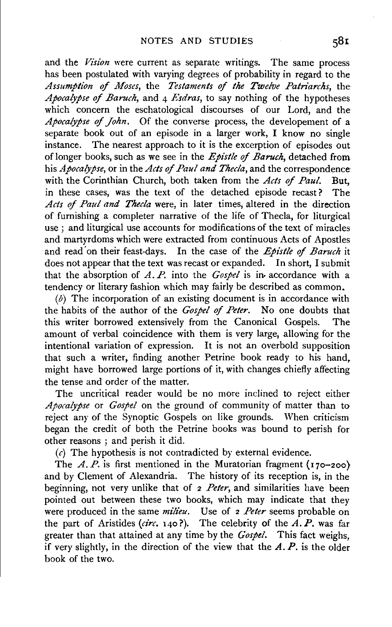and the *Vision* were current as separate writings. The same process has been postulated with varying degrees of probability in regard to the *Assumption* of *Moses,* the *Testaments of the Twelve Patriarchs,* the· *Apocalypse of Baruch,* and 4 *Esdras,* to say nothing of the hypotheses which concern the eschatological discourses of our Lord, and the *Apocalypse* of *John.* Of the converse process, the developement of a separate book out of an episode in a larger work, I know no single instance. The nearest approach to it is the excerption of episodes out of longer books, such as we see in the *Epistle* of *Baruch,* detached from his *Apocalypse,* or in the *Acts of Paul and Thee/a,* and the correspondence with the Corinthian Church, both taken from the *Acts of Paul*. But, in these cases, was the text of the detached episode recast? The Acts of Paul and Thecla were, in later times, altered in the direction of furnishing a completer narrative of the life of Thecla, for liturgical use ; and liturgical use accounts for modifications of the text of miracles and martyrdoms which were extracted from continuous Acts of Apostles and read' on their feast-days. In the case of the *Epistle* of *Baruch* it does not appear that the text was recast or expanded. In short, I submit that the absorption of  $A$ ,  $P$ , into the *Gospel* is in accordance with a tendency or literary fashion which may fairly be described as common.

 $(b)$  The incorporation of an existing document is in accordance with the habits of the author of the *Gospel of Peter.* No one doubts that this writer borrowed extensively from the Canonical Gospels. The amount of verbal coincidence with them is very large, allowing for the intentional variation of expression. It is not an overbold supposition that such a writer, finding another Petrine book ready to his hand, might have borrowed large portions of it, with changes chiefly affecting the tense and order of the matter.

The uncritical reader would be no more inclined to reject either *Apocalypse* or *Gospel* on the ground of community of matter than to reject any of the Synoptic Gospels on like grounds. When criticism began the credit of both the Petrine books was bound to perish for other reasons ; and perish it did.

 $(c)$  The hypothesis is not contradicted by external evidence.

The A. P. is first mentioned in the Muratorian fragment ( $170-200$ ) and by Clement of Alexandria. The history of its reception is, in the beginning, not very unlike that of 2 *Peter,* and similarities have been pointed out between these two books, which may indicate that they were produced in the same *milieu.* Use of 2 *Peter* seems probable on the part of Aristides (circ. 140?). The celebrity of the  $\vec{A}$ ,  $\vec{P}$ , was far greater than that attained at any time by the *Gospel.* This fact weighs, if very slightly, in the direction of the view that the  $A$ ,  $P$ , is the older book of the two.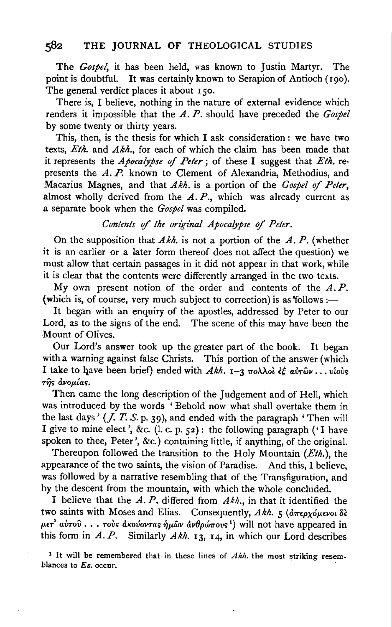#### 582 THE JOURNAL OF THEOLOGICAL STUDIES

The Gospel, it has been held, was known to Justin Martyr. The point is doubtful. It was certainly known to Serapion of Antioch (190). The general verdict places it about 150.

There is, I believe, nothing in the nature of external evidence which renders it impossible that the  $A$ .  $P$ . should have preceded the *Gospel* by some twenty or thirty years.

This, then, is the thesis for which I ask consideration: we have two texts, Eth. and Akh., for each of which the claim has been made that it represents the Apocalypse of Peter; of these I suggest that  $Eth$ . represents the  $A. P.$  known to Clement of Alexandria, Methodius, and Macarius Magnes, and that  $Akh$  is a portion of the Gospel of Peter, almost wholly derived from the  $A.P.,$  which was already current as a separate book when the Gospel was compiled.

Contents of the original Apocalypse of Peter.

On the supposition that  $A k h$ , is not a portion of the A. P. (whether it is an earlier or a later form thereof does not affect the question) we must allow that certain passages in it did not appear in that work, while it is clear that the contents were differently arranged in the two texts.

My own present notion of the order and contents of the  $A.P$ . (which is, of course, very much subject to correction) is as 'follows :-

It began with an enquiry of the apostles, addressed by Peter to our Lord, as to the signs of the end. The scene of this may have been the Mount of Olives.

Our Lord's answer took up the greater part of the book. It began with a warning against false Christs. This portion of the answer (which I take to have been brief) ended with Akh.  $I=3 \pi \partial \lambda \partial \partial \partial \xi$  avroby ... vious τῆς ἀνομίας.

Then came the long description of the Judgement and of Hell, which was introduced by the words 'Behold now what shall overtake them in the last days'  $(J. T. S. p. 39)$ , and ended with the paragraph 'Then will I give to mine elect', &c. (l. c. p. 52): the following paragraph ('I have spoken to thee, Peter', &c.) containing little, if anything, of the original.

Thereupon followed the transition to the Holy Mountain  $(Eth)$ , the appearance of the two saints, the vision of Paradise. And this, I believe, was followed by a narrative resembling that of the Transfiguration, and by the descent from the mountain, with which the whole concluded.

I believe that the  $A.P.$  differed from  $Akh$ , in that it identified the two saints with Moses and Elias. Consequently, Akh. 5 ( $d\pi\epsilon\rho\chi\phi\mu\epsilon\nu o\iota\delta\hat{\epsilon}$ μετ' αύτου ... τους ακούοντας ήμων ανθρώπους<sup>1</sup>) will not have appeared in this form in A. P. Similarly  $Akh$ . 13, 14, in which our Lord describes

<sup>1</sup> It will be remembered that in these lines of  $Akh$ . the most striking resemblances to Es. occur.